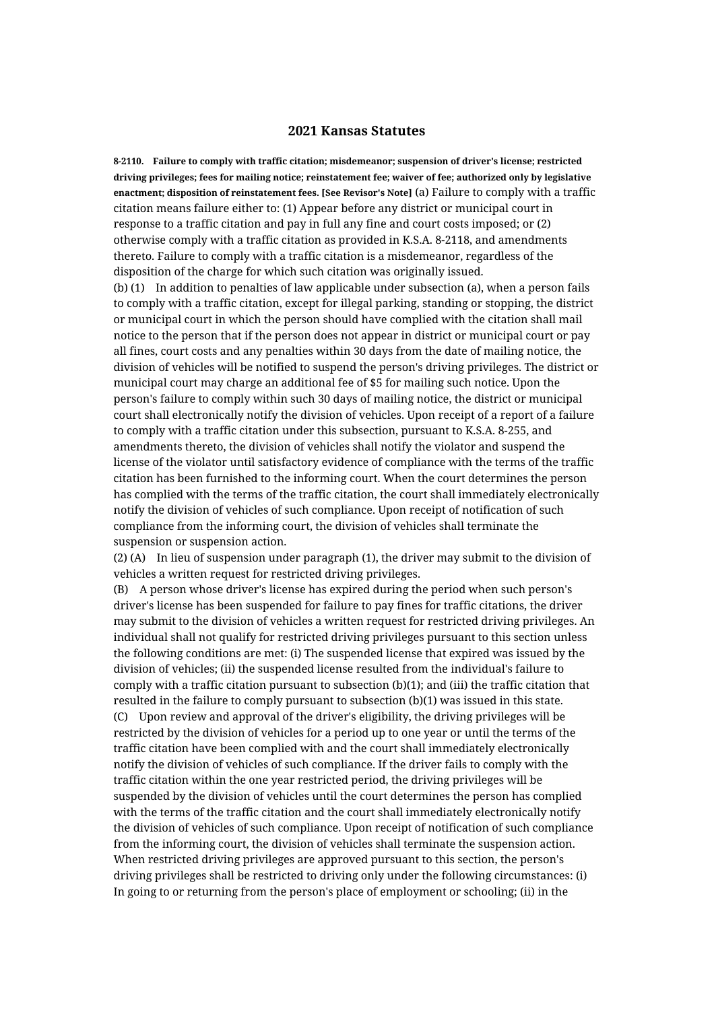## **2021 Kansas Statutes**

**8-2110. Failure to comply with traffic citation; misdemeanor; suspension of driver's license; restricted driving privileges; fees for mailing notice; reinstatement fee; waiver of fee; authorized only by legislative enactment; disposition of reinstatement fees. [See Revisor's Note]** (a) Failure to comply with a traffic citation means failure either to: (1) Appear before any district or municipal court in response to a traffic citation and pay in full any fine and court costs imposed; or (2) otherwise comply with a traffic citation as provided in K.S.A. 8-2118, and amendments thereto. Failure to comply with a traffic citation is a misdemeanor, regardless of the disposition of the charge for which such citation was originally issued. (b) (1) In addition to penalties of law applicable under subsection (a), when a person fails

to comply with a traffic citation, except for illegal parking, standing or stopping, the district or municipal court in which the person should have complied with the citation shall mail notice to the person that if the person does not appear in district or municipal court or pay all fines, court costs and any penalties within 30 days from the date of mailing notice, the division of vehicles will be notified to suspend the person's driving privileges. The district or municipal court may charge an additional fee of \$5 for mailing such notice. Upon the person's failure to comply within such 30 days of mailing notice, the district or municipal court shall electronically notify the division of vehicles. Upon receipt of a report of a failure to comply with a traffic citation under this subsection, pursuant to K.S.A. 8-255, and amendments thereto, the division of vehicles shall notify the violator and suspend the license of the violator until satisfactory evidence of compliance with the terms of the traffic citation has been furnished to the informing court. When the court determines the person has complied with the terms of the traffic citation, the court shall immediately electronically notify the division of vehicles of such compliance. Upon receipt of notification of such compliance from the informing court, the division of vehicles shall terminate the suspension or suspension action.

(2) (A) In lieu of suspension under paragraph (1), the driver may submit to the division of vehicles a written request for restricted driving privileges.

(B) A person whose driver's license has expired during the period when such person's driver's license has been suspended for failure to pay fines for traffic citations, the driver may submit to the division of vehicles a written request for restricted driving privileges. An individual shall not qualify for restricted driving privileges pursuant to this section unless the following conditions are met: (i) The suspended license that expired was issued by the division of vehicles; (ii) the suspended license resulted from the individual's failure to comply with a traffic citation pursuant to subsection (b)(1); and (iii) the traffic citation that resulted in the failure to comply pursuant to subsection (b)(1) was issued in this state. (C) Upon review and approval of the driver's eligibility, the driving privileges will be restricted by the division of vehicles for a period up to one year or until the terms of the traffic citation have been complied with and the court shall immediately electronically notify the division of vehicles of such compliance. If the driver fails to comply with the traffic citation within the one year restricted period, the driving privileges will be suspended by the division of vehicles until the court determines the person has complied with the terms of the traffic citation and the court shall immediately electronically notify the division of vehicles of such compliance. Upon receipt of notification of such compliance from the informing court, the division of vehicles shall terminate the suspension action. When restricted driving privileges are approved pursuant to this section, the person's driving privileges shall be restricted to driving only under the following circumstances: (i) In going to or returning from the person's place of employment or schooling; (ii) in the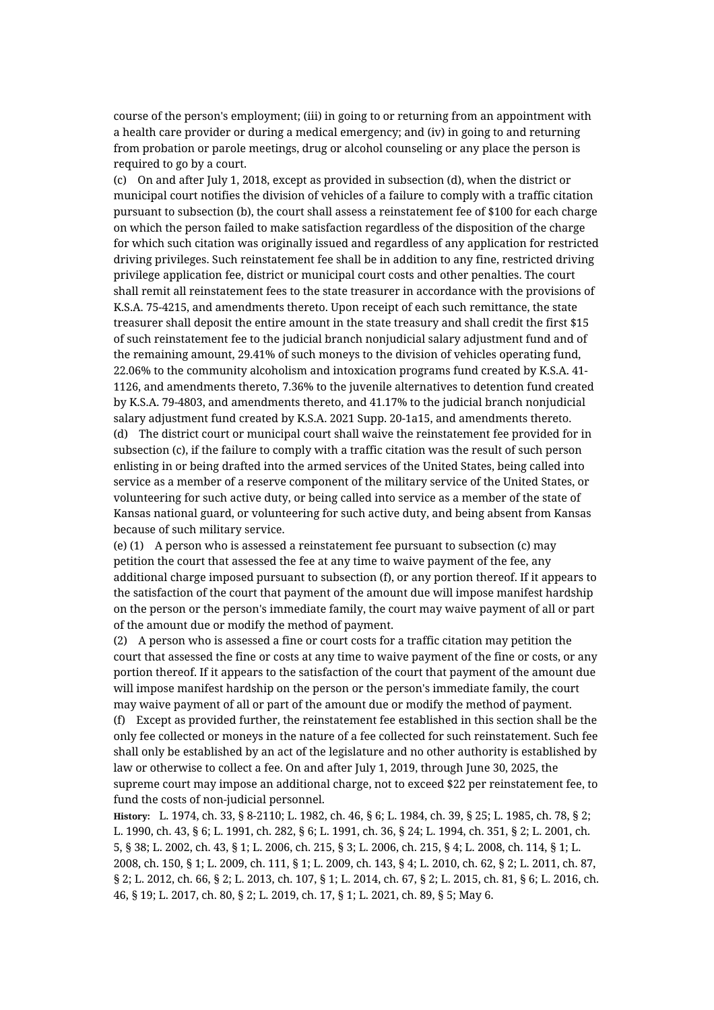course of the person's employment; (iii) in going to or returning from an appointment with a health care provider or during a medical emergency; and (iv) in going to and returning from probation or parole meetings, drug or alcohol counseling or any place the person is required to go by a court.

(c) On and after July 1, 2018, except as provided in subsection (d), when the district or municipal court notifies the division of vehicles of a failure to comply with a traffic citation pursuant to subsection (b), the court shall assess a reinstatement fee of \$100 for each charge on which the person failed to make satisfaction regardless of the disposition of the charge for which such citation was originally issued and regardless of any application for restricted driving privileges. Such reinstatement fee shall be in addition to any fine, restricted driving privilege application fee, district or municipal court costs and other penalties. The court shall remit all reinstatement fees to the state treasurer in accordance with the provisions of K.S.A. 75-4215, and amendments thereto. Upon receipt of each such remittance, the state treasurer shall deposit the entire amount in the state treasury and shall credit the first \$15 of such reinstatement fee to the judicial branch nonjudicial salary adjustment fund and of the remaining amount, 29.41% of such moneys to the division of vehicles operating fund, 22.06% to the community alcoholism and intoxication programs fund created by K.S.A. 41- 1126, and amendments thereto, 7.36% to the juvenile alternatives to detention fund created by K.S.A. 79-4803, and amendments thereto, and 41.17% to the judicial branch nonjudicial salary adjustment fund created by K.S.A. 2021 Supp. 20-1a15, and amendments thereto. (d) The district court or municipal court shall waive the reinstatement fee provided for in subsection (c), if the failure to comply with a traffic citation was the result of such person enlisting in or being drafted into the armed services of the United States, being called into service as a member of a reserve component of the military service of the United States, or volunteering for such active duty, or being called into service as a member of the state of Kansas national guard, or volunteering for such active duty, and being absent from Kansas because of such military service.

(e) (1) A person who is assessed a reinstatement fee pursuant to subsection (c) may petition the court that assessed the fee at any time to waive payment of the fee, any additional charge imposed pursuant to subsection (f), or any portion thereof. If it appears to the satisfaction of the court that payment of the amount due will impose manifest hardship on the person or the person's immediate family, the court may waive payment of all or part of the amount due or modify the method of payment.

(2) A person who is assessed a fine or court costs for a traffic citation may petition the court that assessed the fine or costs at any time to waive payment of the fine or costs, or any portion thereof. If it appears to the satisfaction of the court that payment of the amount due will impose manifest hardship on the person or the person's immediate family, the court may waive payment of all or part of the amount due or modify the method of payment.

(f) Except as provided further, the reinstatement fee established in this section shall be the only fee collected or moneys in the nature of a fee collected for such reinstatement. Such fee shall only be established by an act of the legislature and no other authority is established by law or otherwise to collect a fee. On and after July 1, 2019, through June 30, 2025, the supreme court may impose an additional charge, not to exceed \$22 per reinstatement fee, to fund the costs of non-judicial personnel.

**History:** L. 1974, ch. 33, § 8-2110; L. 1982, ch. 46, § 6; L. 1984, ch. 39, § 25; L. 1985, ch. 78, § 2; L. 1990, ch. 43, § 6; L. 1991, ch. 282, § 6; L. 1991, ch. 36, § 24; L. 1994, ch. 351, § 2; L. 2001, ch. 5, § 38; L. 2002, ch. 43, § 1; L. 2006, ch. 215, § 3; L. 2006, ch. 215, § 4; L. 2008, ch. 114, § 1; L. 2008, ch. 150, § 1; L. 2009, ch. 111, § 1; L. 2009, ch. 143, § 4; L. 2010, ch. 62, § 2; L. 2011, ch. 87, § 2; L. 2012, ch. 66, § 2; L. 2013, ch. 107, § 1; L. 2014, ch. 67, § 2; L. 2015, ch. 81, § 6; L. 2016, ch. 46, § 19; L. 2017, ch. 80, § 2; L. 2019, ch. 17, § 1; L. 2021, ch. 89, § 5; May 6.